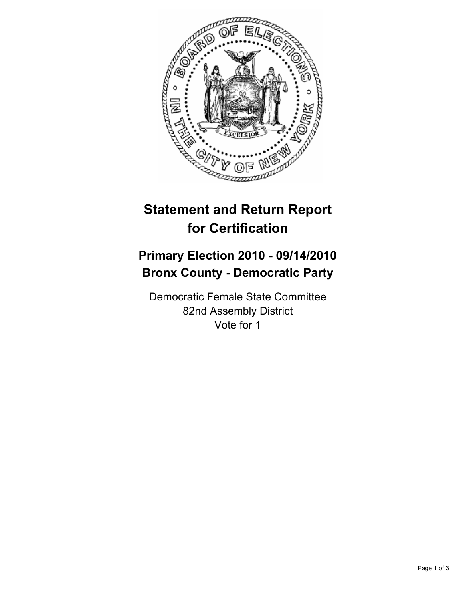

## **Statement and Return Report for Certification**

## **Primary Election 2010 - 09/14/2010 Bronx County - Democratic Party**

Democratic Female State Committee 82nd Assembly District Vote for 1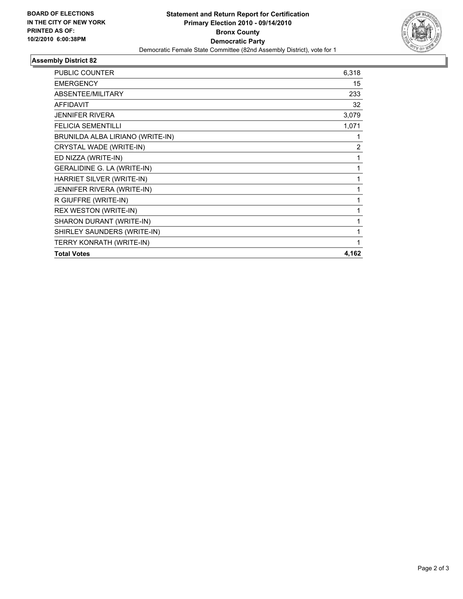

## **Assembly District 82**

| <b>PUBLIC COUNTER</b>            | 6,318 |
|----------------------------------|-------|
| <b>EMERGENCY</b>                 | 15    |
| ABSENTEE/MILITARY                | 233   |
| <b>AFFIDAVIT</b>                 | 32    |
| JENNIFER RIVERA                  | 3,079 |
| <b>FELICIA SEMENTILLI</b>        | 1,071 |
| BRUNILDA ALBA LIRIANO (WRITE-IN) | 1     |
| CRYSTAL WADE (WRITE-IN)          | 2     |
| ED NIZZA (WRITE-IN)              | 1     |
| GERALIDINE G. LA (WRITE-IN)      | 1     |
| HARRIET SILVER (WRITE-IN)        | 1     |
| JENNIFER RIVERA (WRITE-IN)       | 1     |
| R GIUFFRE (WRITE-IN)             | 1     |
| REX WESTON (WRITE-IN)            | 1     |
| SHARON DURANT (WRITE-IN)         | 1     |
| SHIRLEY SAUNDERS (WRITE-IN)      | 1     |
| TERRY KONRATH (WRITE-IN)         | 1     |
| <b>Total Votes</b>               | 4,162 |